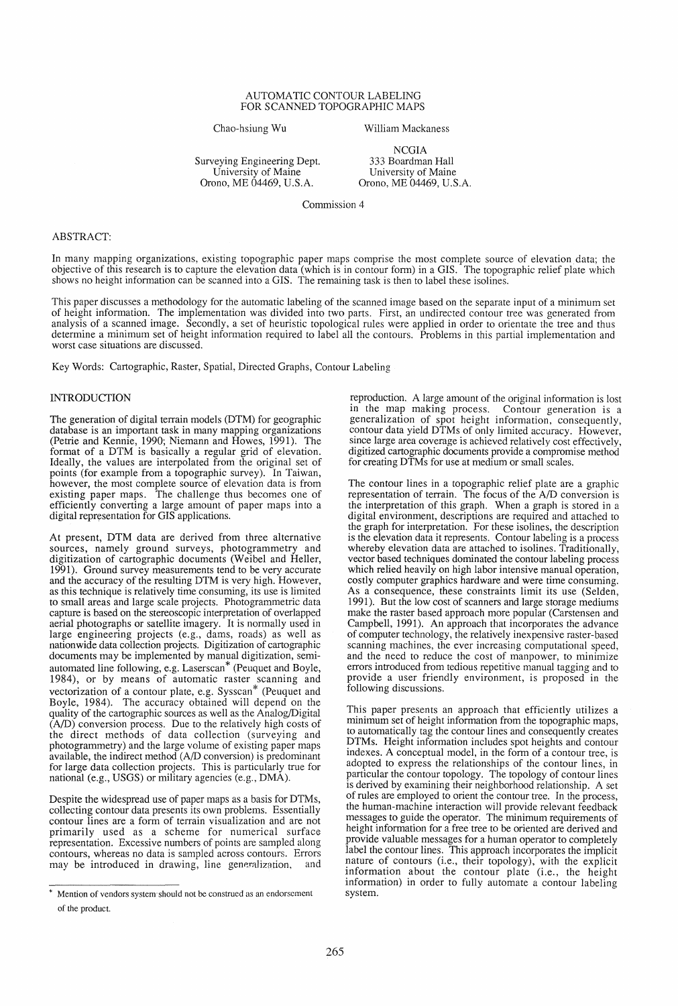### AUTOMATIC CONTOUR LABELING FOR SCANNED TOPOGRAPHIC MAPS

Chao-hsiung Wu

William Mackaness

Surveying Engineering Dept. University of Maine Orono, ME 04469, U.S.A.

NCGIA 333 Boardman Hall University of Maine Orono, ME 04469, U.S.A.

Commission 4

## ABSTRACT:

In many mapping organizations, existing topographic paper maps comprise the most complete source of elevation. data; the objective of this research is to capture the elevation data (which is in contour form) in a GIS. The topographic relief plate which shows no height information can be scanned into a GIS. The remaining task is then to label these isolines.

This paper discusses a methodology for the automatic labeling of the scanned image based on the separate input of a minimum set of height information. The implementation was divided into two parts. First, an undirected contour tree was generated from analysis of a scanned image. Secondly, a set of heuristic topological rules were applied in order to orientate the tree and thus determine a minimum set of height information required to label all the contours. Problems in this partial implementation and worst case situations are discussed.

Key Words: Cartographic, Raster, Spatial, Directed Graphs, Contour Labeling

# **INTRODUCTION**

The generation of digital terrain models (DTM) for geographic database is an important task in many mapping organizations (Petrie and Kennie, 1990; Niemann and Howes, 1991). The format of a DTM is basically a regular grid of elevation. Ideally, the values are interpolated from the original set of points (for example from a topographic survey). In Taiwan, however, the most complete source of elevation data is from existing paper maps. The challenge thus becomes one of efficiently converting a large amount of paper maps into a digital representation for GIS applications.

At present, DTM data are derived from three alternative sources, namely ground surveys, photogrammetry and digitization of cartographic documents (Weibel and Heller, 1991). Ground survey measurements tend to be very accurate and the accuracy of the resulting DTM is very high. However, as this technique is relatively time consuming, its use is limited to small areas and large scale projects. Photogrammetric data capture is based on the stereoscopic interpretation of overlapped aerial photographs or satellite imagery. It is normally used in large engineering projects (e.g., dams, roads) as well as nationwide data collection projects. Digitization of cartographic documents may be implemented by manual digitization, semiautomated line following, e.g. Laserscan \* (Peuquet and Boyle, 1984), or by means of automatic raster scanning and vectorization of a contour plate, e.g. Sysscan \* (Peuquet and Boyle, 1984). The accuracy obtained will depend on the quality of the cartographic sources as well as the Analog/Digital  $(A/D)$  conversion process. Due to the relatively high costs of the direct methods of data collection (surveying and photogrammetry) and the large volume of existing paper maps available, the indirect method (A/D conversion) is predominant for large data collection projects. This is particularly true for national (e.g., USGS) or military agencies (e.g., DMA).

Despite the widespread use of paper maps as a basis for DTMs, collecting contour data presents its own problems. Essentially contour lines are a form of terrain visualization and are not primarily used as a scheme for numerical surface representation. Excessive numbers of points are sampled along contours, whereas no data is sampled across contours. Errors may be introduced in drawing, line generalization, and

reproduction. A large amount of the original information is lost<br>in the map making process. Contour generation is a in the map making process. Contour generation is a generalization of spot height information, consequently, contour data yield DTMs of only limited accuracy. However, since large area coverage is achieved relatively cost effectively, digitized cartographic documents provide a compromise method for creating DTMs for use at medium or small scales.

The contour lines in a topographic relief plate are a graphic representation of terrain. The focus of the A/D conversion is the interpretation of this graph. When a graph is stored in a digital environment, descriptions are required and attached to the graph for interpretation. For these isolines, the description is the elevation data it represents. Contour labeling is a process whereby elevation data are attached to isolines. Traditionally, vector based techniques dominated the contour labeling process which relied heavily on high labor intensive manual operation, costly computer graphics hardware and were time consuming. As a consequence, these constraints limit its use (Selden, 1991). But the low cost of scanners and large storage mediums make the raster based approach more popular (Carstensen and Campbell, 1991). An approach that incorporates the advance of computer technology, the relatively inexpensive raster-based scanning machines, the ever increasing computational speed, and the need to reduce the cost of manpower, to minimize errors introduced from tedious repetitive manual tagging and to provide a user friendly environment, is proposed in the following discussions.

This paper presents an approach that efficiently utilizes a minimum set of height information from the topographic maps, to automatically tag the contour lines and consequently creates DTMs. Height information includes spot heights and contour indexes. A conceptual model, in the form of a contour tree, is adopted to express the relationships of the contour lines, in particular the contour topology. The topology of contour lines is derived by examining their neighborhood relationship. A set of rules are employed to orient the contour tree. In the process, the human-machine interaction will provide relevant feedback messages to guide the operator. The minimum requirements of height information for a free tree to be oriented are derived and provide valuable messages for a human operator to completely label the contour lines. This approach incorporates the implicit nature of contours (i.e., their topology), with the explicit information about the contour plate (i.e., the height information) in order to fully automate a contour labeling system.

<sup>\*</sup> Mention of vendors system'should not be construed as an endorsement of the product.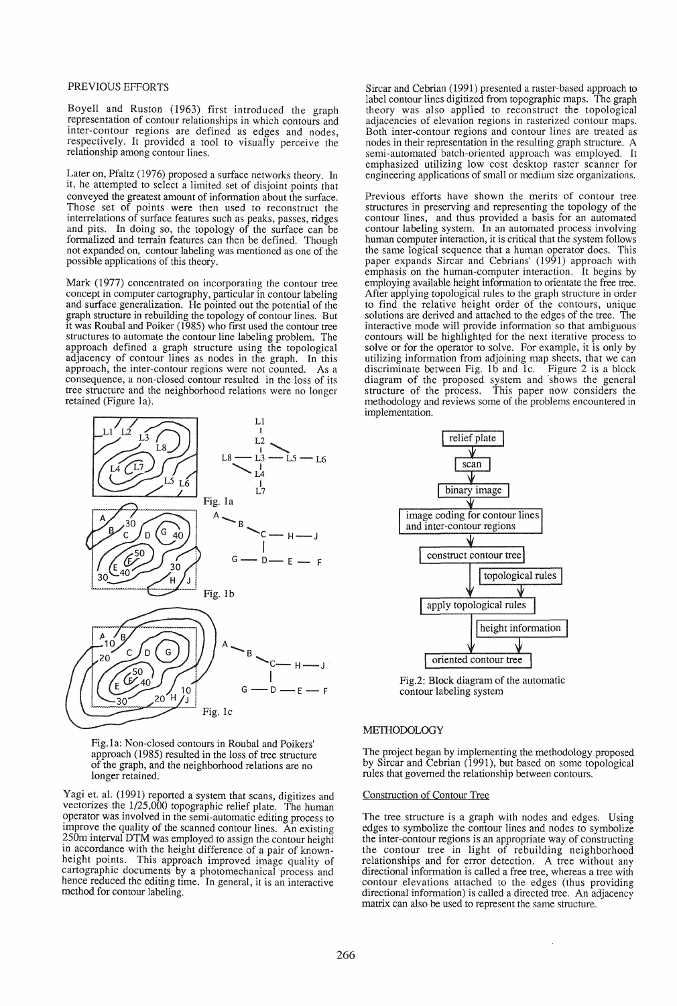### PREVIOUS EFFORTS

Boyell and Ruston (1963) first introduced the graph representation of contour relationships in which contours and inter-contour regions are defined as edges and nodes. respectively. It provided a tool to visually perceive the relationship among contour lines.

Later on, Pfaltz (1976) proposed a surface networks theory. In it, he attempted to select a limited set of disjoint points that conveyed the greatest amount of information about the surface. Those set of points were then used to reconstruct the interrelations of surface features such as peaks, passes, ridges and pits. In doing so, the topology of the surface can be formalized and terrain features can then be defined. Though not expanded on, contour labeling was mentioned as one of the possible applications of this theory.

Mark (1977) concentrated on incorporating the contour tree concept in computer cartography, particular in contour labeling and surface generalization. He pointed out the potential of the graph structure in rebuilding the topology of contour lines. But it was Roubal and Poiker (1985) who first used the contour tree structures to automate the contour line labeling problem. The approach defined a graph structure using the topological adjacency of contour lines as nodes in the graph. In this approach, the inter-contour regions were not counted. As a consequence, a non-closed contour resulted in the loss of its tree structure and the neighborhood relations were no longer retained (Figure la).



Fig.la: Non-closed contours in Roubal and Poikers' approach (1985) resulted in the loss of tree structure of the graph, and the neighborhood relations are no longer retained.

Yagi et. al. (1991) reported a system that scans, digitizes and vectorizes the 1/25,000 topographic relief plate. The human operator was involved in the semi-automatic editing process to  $improve$  the quality of the scanned contour lines. An existing 250m interval DTM was employed to assign the contour height m accordance with the height difference of a pair of knownheight points. This approach improved image quality of cartographic documents by a photomechanical process and hence reduced the editing time. In general, it is an interactive method for contour labeling.

Sircar and Cebrian (1991) presented a raster-based approach to label contour lines digitized from topographic maps. The graph theory was also applied to reconstruct the topological adjacencies of elevation regions in rasterized contour maps. Both inter-contour regions and contour lines are treated as nodes in their representation in the resulting graph structure. A semi-automated batch-oriented approach was employed. It emphasized utilizing low cost desktop raster scanner for engineering applications of small or medium size organizations.

Previous efforts have shown the merits of contour tree structures in preserving and representing the topology of the contour lines, and thus provided a basis for an automated contour labeling system. In an automated process involving human computer interaction, it is critical that the system follows the same logical sequence that a human operator does. This paper expands Sircar and Cebrians' (1991) approach with emphasis on the human-computer interaction. It begins by employing available height information to orientate the free tree. After applying topological rules to the graph structure in order to find the relative height order of the contours, unique solutions are derived and attached to the edges of the tree. The interactive mode will provide information so that ambiguous contours will be highlighted for the next iterative process to solve or for the operator to solve. For example, it is only by utilizing information from adjoining map sheets, that we can discriminate between Fig. 1b and 1c. Figure 2 is a block diagram of the proposed system and' shows the general structure of the process. This paper now considers the methodology and reviews some of the problems encountered in implementation.



Fig.2: Block diagram of the automatic contour labeling system

## **METHODOLOGY**

The project began by implementing the methodology proposed by Sircar and Cebrian (1991), but based on some topological rules that governed the relationship between contours.

## Construction of Contour Tree

The tree structure is a graph with nodes and edges. Using edges to symbolize the contour lines and nodes to symbolize the inter-contour regions is an appropriate way of constructing the contour tree in light of rebuilding neighborhood relationships and for error detection. A tree without any directional information is called a free tree, whereas a tree with contour elevations attached to the edges (thus providing directional information) is called a directed tree. An adjacency matrix can also be used to represent the same structure.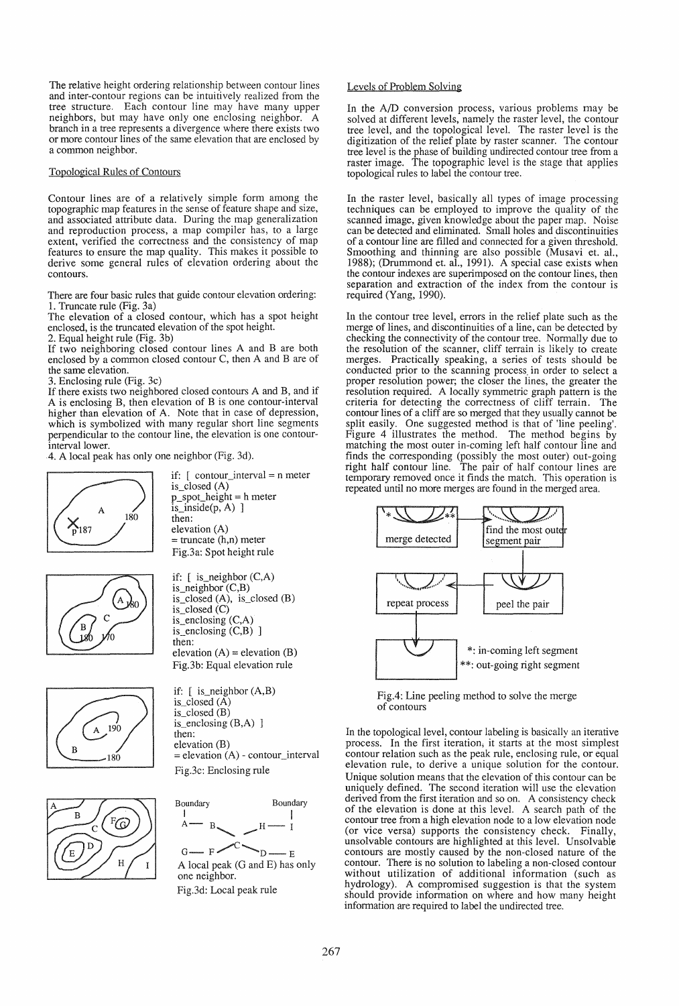The relative height ordering relationship between contour lines and inter-contour regions can be intuitively realized from the tree structure. Each contour line may have many upper neighbors, but may have only one enclosing neighbor. A branch in a tree represents a divergence where there exists two or more contour lines of the same elevation that are enclosed by a common neighbor.

#### Topological Rules of Contours

Contour lines are of a relatively simple form among the topographic map features in the sense of feature shape and size, and associated attribute data. During the map generalization and reproduction process, a map compiler has, to a large extent, verified the correctness and the consistency of map features to ensure the map quality. This makes it possible to derive some general rules of elevation ordering about the contours.

There are four basic rules that guide contour elevation ordering: 1. Truncate rule (Fig. 3a)

The elevation of a closed contour, which has a spot height enclosed, is the truncated elevation of the spot height.

2. Equal height rule (Fig. 3b)

If two neighboring closed contour lines A and B are both enclosed by a common closed contour C, then A and B are of the same elevation.

3. Enclosing rule (Fig. 3c)

If there exists two neighbored closed contours A and B, and if A is enclosing B, then elevation of B is one contour-interval higher than elevation of A. Note that in case of depression, which is symbolized with many regular short line segments perpendicular to the contour line, the elevation is one contourinterval lower.

4. A local peak has only one neighbor (Fig. 3d).









if: [ contour\_interval = n meter is  $\text{closed}(A)$  $p$ \_spot\_height = h meter  $is\_inside(p, A)$ ] then: elevation (A)  $=$  truncate  $(h,n)$  meter Fig.3a: Spot height rule

if:  $\Gamma$  is neighbor  $(C, A)$ is\_neighbor $(C,B)$ is\_closed (A), is\_closed (B) is\_closed (C) is enclosing  $(C, A)$ is\_enclosing  $(C,B)$  ] then: elevation  $(A)$  = elevation  $(B)$ Fig.3b: Equal elevation rule

if: [ is\_neighbor (A,B) is closed  $(A)$ is\_closed (B) is\_enclosing (B,A) ] then:<br>elevation  $(B)$  $=$  elevation  $(A)$  - contour\_interval Fig.3c: Enclosing rule



Fig.3d: Local peak rule

### Levels of Problem Solving

In the A/D conversion process, various problems may be solved at different levels, namely the raster level, the contour tree level, and the topological level. The raster level is the digitization of the relief plate by raster scanner. The contour tree level is the phase of building undirected contour tree from a raster image. The topographic level is the stage that applies topological rules to label the contour tree.

In the raster level, basically all types of image processing techniques can be employed to improve the quality of the scanned image, given knowledge about the paper map. Noise can be detected and eliminated. Small holes and discontinuities of a contour line are filled and connected for a given threshold. Smoothing and thinning are also possible (Musavi et. aI., 1988); (Drummond et. al., 1991). A special case exists when the contour indexes are superimposed on the contour lines, then separation and extraction of the index from the contour is required (Yang, 1990).

In the contour tree level, errors in the relief plate such as the merge of lines, and discontinuities of a line, can be detected by checking the connectivity of the contour tree. Normally due to the resolution of the scanner, cliff terrain is likely to create merges. Practically speaking, a series of tests should be conducted prior to the scanning process. in order to select a proper resolution power; the closer the lines, the greater the resolution required. A locally symmetric graph pattern is the criteria for detecting the correctness of cliff terrain. The contour lines of a cliff are so merged that they usually cannot be split easily. One suggested method is that of 'line peeling'. Figure 4 illustrates the method. The method begins by matching the most outer in-coming left half contour line and finds the corresponding (possibly the most outer) out-going right half contour line. The pair of half contour lines are temporary removed once it finds the match. This operation is repeated until no more merges are found in the merged area.



Fig.4: Line peeling method to solve the merge of contours

In the topological level, contour labeling is basically an iterative process. In the first iteration; it starts at the most simplest contour relation such as the peak rule, enclosing rule, or equal elevation rule, to derive a unique solution for the contour. Unique solution means that the elevation of this contour can be uniquely defined. The second iteration will use the elevation derived from the first iteration and so on. A consistency check of the elevation is done at this level. A search path of the contour tree from a high elevation node to a low elevation node (or vice versa) supports the consistency check. Finally, unsolvable contours are highlighted at this level. Unsolvable contours are mostly caused by the non-closed nature of the contour. There is no solution to labeling a non-closed contour without utilization of additional information (such as without utilization of additional information (such as hydrology). A compromised suggestion is that the system should provide information on where and how many height information are required to label the undirected tree.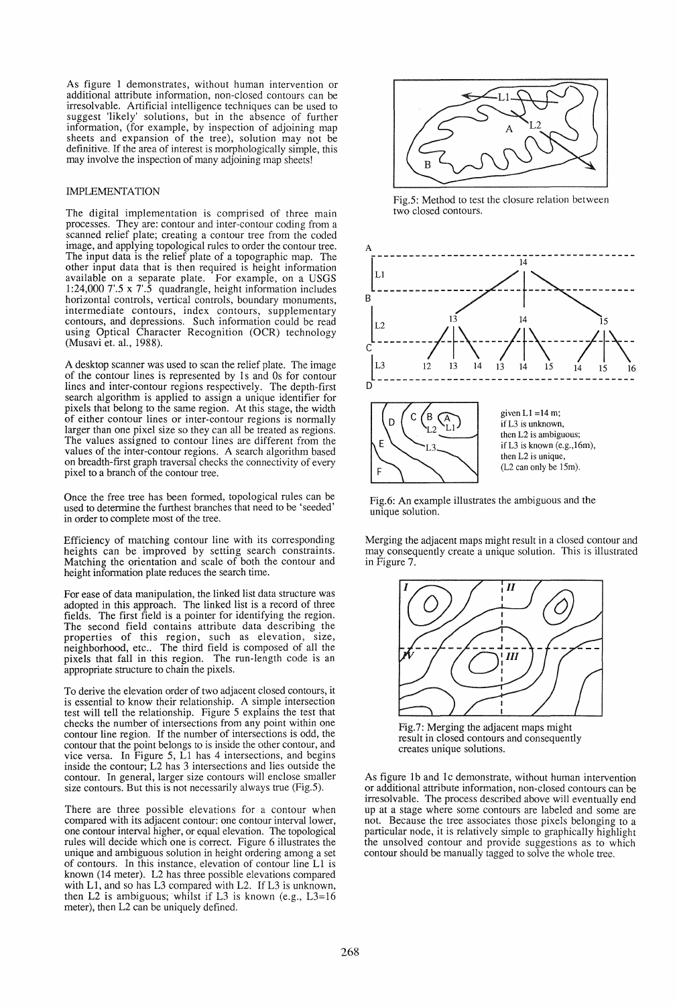As figure 1 demonstrates, without human intervention or additional attribute information, non-closed contours can be irresolvable. Artificial intelligence techniques can be used to suggest 'likely' solutions, but in the absence of further information, (for example, by inspection of adjoining map sheets and expansion of the tree), solution may not be definitive. If the area of interest is morphologically simple, this may involve the inspection of many adjoining map sheets!

### IMPLEMENTATION

The digital implementation is comprised of three main processes. They are: contour and inter-contour coding from a scanned relief plate; creating a contour tree from the coded image, and applying topological rules to order the contour tree. The input data is the relief plate of a topographic map. The other input data that is then required is height information available on a separate plate. For example, on a USGS 1:24,0007'.5 x 7'.5 quadrangle, height information includes horizontal controls, vertical controls, boundary monuments, intermediate contours, index contours, supplementary contours, and depressions. Such information could be read using Optical Character Recognition (OCR) technology (Musavi et. al., 1988).

A desktop scanner was used to scan the relief plate. The image of the contour lines is represented by 1s and 0s for contour lines and inter-contour regions respectively. The depth-first search algorithm is applied to assign a unique identifier for pixels that belong to the same region. At this stage, the width of either contour lines or inter-contour regions is normally larger than one pixel size so they can all be treated as regions. The values assigned to contour lines are different from the values of the inter-contour regions. A search algorithm based on breadth-first graph traversal checks the connectivity of every pixel to a branch of the contour tree.

Once the free tree has been formed, topological rules can be used to determine the furthest branches that need to be 'seeded' in order to complete most of the tree.

Efficiency of matching contour line with its corresponding heights can be improved by setting search constraints. Matching the orientation and scale of both the contour and height information plate reduces the search time.

For ease of data manipulation, the linked list data structure was adopted in this approach. The linked list is a record of three fields. The first field is a pointer for identifying the region. The second field contains attribute data describing the properties of this region, such as elevation, size, neighborhood, etc.. The third field is composed of all the pixels that fall in this region. The run-length code is an appropriate structure to chain the pixels.

To derive the elevation order of two adjacent closed contours, it is essential to know their relationship. A simple intersection test will tell the relationship. Figure 5 explains the test that checks the number of intersections from any point within one contour line region. If the number of intersections is odd, the contour that the point belongs to is inside the other contour, and vice versa. In Figure 5, Ll has 4 intersections, and begins inside the contour; L2 has 3 intersections and lies outside the contour. In general, larger size contours will enclose smaller size contours. But this is not necessarily always true (Fig.5).

There are three possible elevations for a contour when compared with its adjacent contour: one contour interval lower, one contour interval higher, or equal elevation. The topological rules will decide which one is correct. Figure 6 illustrates the unique and ambiguous solution in height ordering among a set of contours. In this instance, elevation of contour line Ll is known (14 meter). L2 has three possible elevations compared with Ll, and so has L3 compared with L2. If L3 is unknown, then L2 is ambiguous; 'whilst if L3 is known (e.g., L3=16 meter), then L2 can be uniquely defined.



Fig.5: Method to test the closure relation between two closed contours.



Fig.6: An example illustrates the ambiguous and the unique solution.

Merging the adjacent maps might result in a closed contour and may consequently create a unique solution. This is illustrated in Figure 7.



Fig.7: Merging the adjacent maps might result in closed contours and consequently creates unique solutions.

As figure Ib and Ic demonstrate, without human intervention or additional attribute information, non-closed contours can be irresolvable. The process described above will eventually end up at a stage where some contours are labeled and some are not. Because the tree associates those pixels belonging to a particular node, it is relatively simple to graphically highlight the unsolved contour and provide suggestions as to which contour should be manually tagged to solve the whole tree.